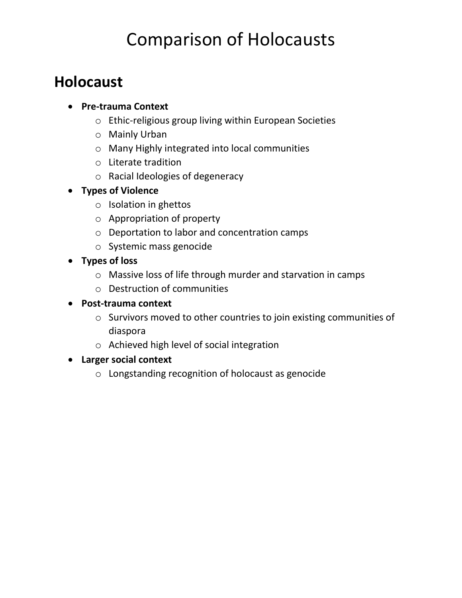# Comparison of Holocausts

### **Holocaust**

- **Pre-trauma Context**
	- o Ethic-religious group living within European Societies
	- o Mainly Urban
	- o Many Highly integrated into local communities
	- o Literate tradition
	- o Racial Ideologies of degeneracy
- **Types of Violence**
	- o Isolation in ghettos
	- o Appropriation of property
	- o Deportation to labor and concentration camps
	- o Systemic mass genocide
- **Types of loss**
	- o Massive loss of life through murder and starvation in camps
	- o Destruction of communities
- **Post-trauma context**
	- o Survivors moved to other countries to join existing communities of diaspora
	- o Achieved high level of social integration
- **Larger social context**
	- o Longstanding recognition of holocaust as genocide